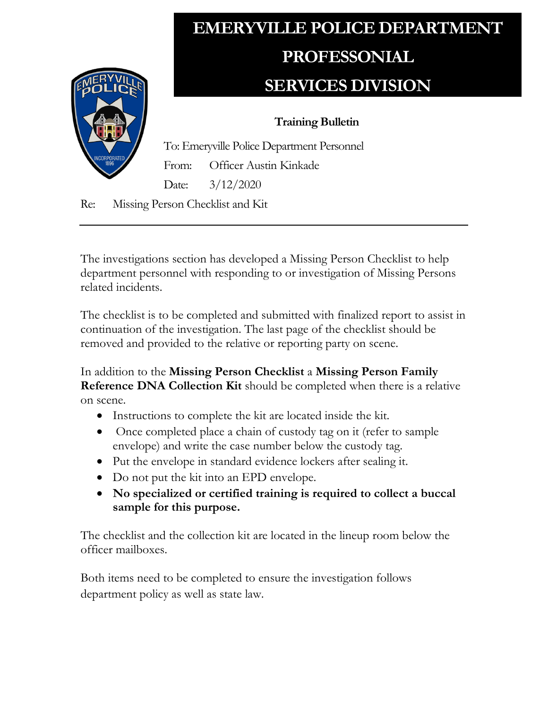

## **EMERYVILLE POLICE DEPARTMENT PROFESSONIAL SERVICES DIVISION**

## **Training Bulletin**

To: Emeryville Police Department Personnel From: Officer Austin Kinkade Date: 3/12/2020

Re: Missing Person Checklist and Kit

The investigations section has developed a Missing Person Checklist to help department personnel with responding to or investigation of Missing Persons related incidents.

The checklist is to be completed and submitted with finalized report to assist in continuation of the investigation. The last page of the checklist should be removed and provided to the relative or reporting party on scene.

In addition to the **Missing Person Checklist** a **Missing Person Family Reference DNA Collection Kit** should be completed when there is a relative on scene.

- Instructions to complete the kit are located inside the kit.
- Once completed place a chain of custody tag on it (refer to sample envelope) and write the case number below the custody tag.
- Put the envelope in standard evidence lockers after sealing it.
- Do not put the kit into an EPD envelope.
- **No specialized or certified training is required to collect a buccal sample for this purpose.**

The checklist and the collection kit are located in the lineup room below the officer mailboxes.

Both items need to be completed to ensure the investigation follows department policy as well as state law.